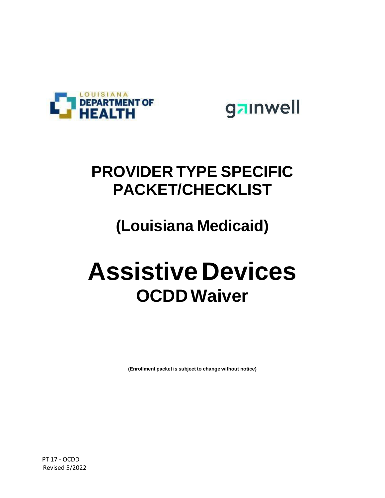

gainwell

## **PROVIDER TYPE SPECIFIC PACKET/CHECKLIST**

## **(Louisiana Medicaid)**

# **AssistiveDevices OCDDWaiver**

**(Enrollment packet is subject to change without notice)**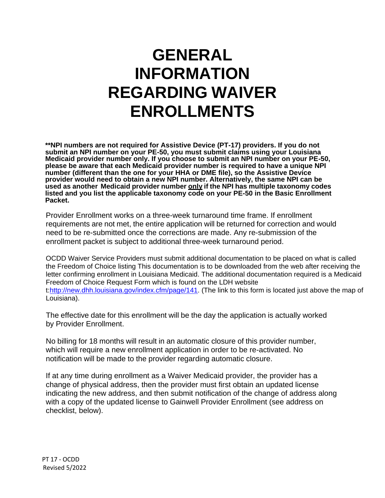## **GENERAL INFORMATION REGARDING WAIVER ENROLLMENTS**

**\*\*NPI numbers are not required for Assistive Device (PT-17) providers. If you do not submit an NPI number on your PE-50, you must submit claims using your Louisiana Medicaid provider number only. If you choose to submit an NPI number on your PE-50, please be aware that each Medicaid provider number is required to have a unique NPI number (different than the one for your HHA or DME file), so the Assistive Device provider would need to obtain a new NPI number. Alternatively, the same NPI can be used as another Medicaid provider number only if the NPI has multiple taxonomy codes listed and you list the applicable taxonomy code on your PE-50 in the Basic Enrollment Packet.**

Provider Enrollment works on a three-week turnaround time frame. If enrollment requirements are not met, the entire application will be returned for correction and would need to be re-submitted once the corrections are made. Any re-submission of the enrollment packet is subject to additional three-week turnaround period.

OCDD Waiver Service Providers must submit additional documentation to be placed on what is called the Freedom of Choice listing This documentation is to be downloaded from the web after receiving the letter confirming enrollment in Louisiana Medicaid. The additional documentation required is a Medicaid Freedom of Choice Request Form which is found on the LDH website t[:http://new.dhh.louisiana.gov/index.cfm/page/141.](http://new.dhh.louisiana.gov/index.cfm/page/141) (The link to this form is located just above the map of Louisiana).

The effective date for this enrollment will be the day the application is actually worked by Provider Enrollment.

No billing for 18 months will result in an automatic closure of this provider number, which will require a new enrollment application in order to be re-activated. No notification will be made to the provider regarding automatic closure.

If at any time during enrollment as a Waiver Medicaid provider, the provider has a change of physical address, then the provider must first obtain an updated license indicating the new address, and then submit notification of the change of address along with a copy of the updated license to Gainwell Provider Enrollment (see address on checklist, below).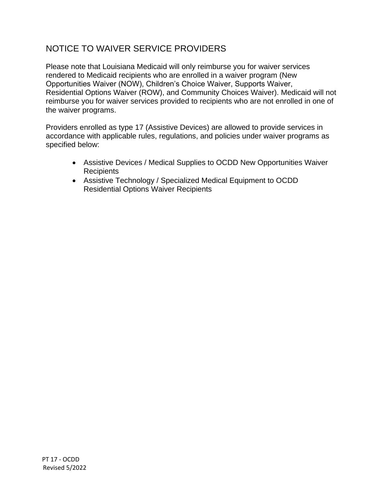#### NOTICE TO WAIVER SERVICE PROVIDERS

Please note that Louisiana Medicaid will only reimburse you for waiver services rendered to Medicaid recipients who are enrolled in a waiver program (New Opportunities Waiver (NOW), Children's Choice Waiver, Supports Waiver, Residential Options Waiver (ROW), and Community Choices Waiver). Medicaid will not reimburse you for waiver services provided to recipients who are not enrolled in one of the waiver programs.

Providers enrolled as type 17 (Assistive Devices) are allowed to provide services in accordance with applicable rules, regulations, and policies under waiver programs as specified below:

- Assistive Devices / Medical Supplies to OCDD New Opportunities Waiver Recipients
- Assistive Technology / Specialized Medical Equipment to OCDD Residential Options Waiver Recipients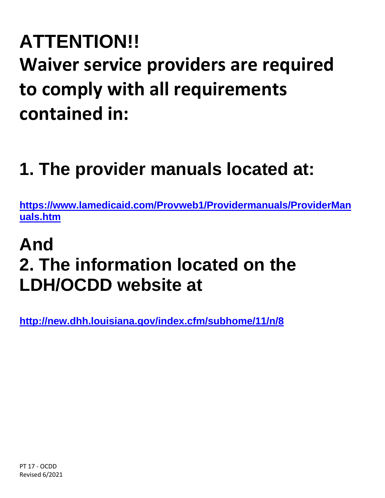# **ATTENTION!! Waiver service providers are required to comply with all requirements contained in:**

# **1. The provider manuals located at:**

**[https://www.lamedicaid.com/Provweb1/Providermanuals/ProviderMan](https://www.lamedicaid.com/Provweb1/Providermanuals/ProviderManuals.htm) [uals.htm](https://www.lamedicaid.com/Provweb1/Providermanuals/ProviderManuals.htm)**

# **And 2. The information located on the LDH/OCDD website at**

**<http://new.dhh.louisiana.gov/index.cfm/subhome/11/n/8>**